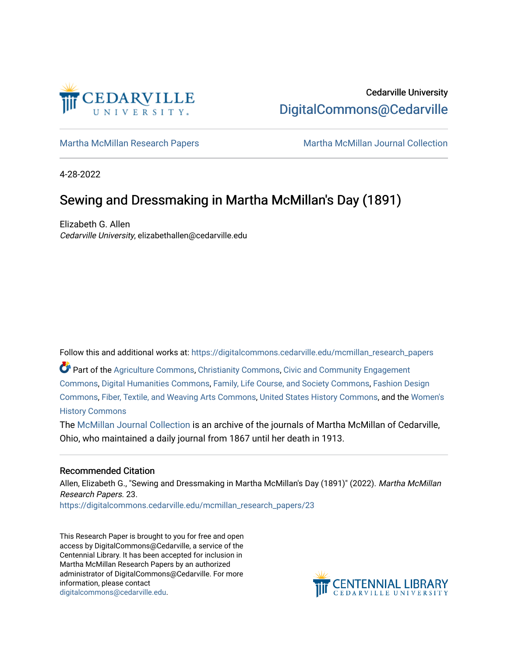

# Cedarville University [DigitalCommons@Cedarville](https://digitalcommons.cedarville.edu/)

[Martha McMillan Research Papers](https://digitalcommons.cedarville.edu/mcmillan_research_papers) Martha McMillan Journal Collection

4-28-2022

# Sewing and Dressmaking in Martha McMillan's Day (1891)

Elizabeth G. Allen Cedarville University, elizabethallen@cedarville.edu

Follow this and additional works at: [https://digitalcommons.cedarville.edu/mcmillan\\_research\\_papers](https://digitalcommons.cedarville.edu/mcmillan_research_papers?utm_source=digitalcommons.cedarville.edu%2Fmcmillan_research_papers%2F23&utm_medium=PDF&utm_campaign=PDFCoverPages) 

Part of the [Agriculture Commons](http://network.bepress.com/hgg/discipline/1076?utm_source=digitalcommons.cedarville.edu%2Fmcmillan_research_papers%2F23&utm_medium=PDF&utm_campaign=PDFCoverPages), [Christianity Commons](http://network.bepress.com/hgg/discipline/1181?utm_source=digitalcommons.cedarville.edu%2Fmcmillan_research_papers%2F23&utm_medium=PDF&utm_campaign=PDFCoverPages), [Civic and Community Engagement](http://network.bepress.com/hgg/discipline/1028?utm_source=digitalcommons.cedarville.edu%2Fmcmillan_research_papers%2F23&utm_medium=PDF&utm_campaign=PDFCoverPages)  [Commons](http://network.bepress.com/hgg/discipline/1028?utm_source=digitalcommons.cedarville.edu%2Fmcmillan_research_papers%2F23&utm_medium=PDF&utm_campaign=PDFCoverPages), [Digital Humanities Commons,](http://network.bepress.com/hgg/discipline/1286?utm_source=digitalcommons.cedarville.edu%2Fmcmillan_research_papers%2F23&utm_medium=PDF&utm_campaign=PDFCoverPages) [Family, Life Course, and Society Commons](http://network.bepress.com/hgg/discipline/419?utm_source=digitalcommons.cedarville.edu%2Fmcmillan_research_papers%2F23&utm_medium=PDF&utm_campaign=PDFCoverPages), [Fashion Design](http://network.bepress.com/hgg/discipline/1132?utm_source=digitalcommons.cedarville.edu%2Fmcmillan_research_papers%2F23&utm_medium=PDF&utm_campaign=PDFCoverPages)  [Commons](http://network.bepress.com/hgg/discipline/1132?utm_source=digitalcommons.cedarville.edu%2Fmcmillan_research_papers%2F23&utm_medium=PDF&utm_campaign=PDFCoverPages), [Fiber, Textile, and Weaving Arts Commons,](http://network.bepress.com/hgg/discipline/1337?utm_source=digitalcommons.cedarville.edu%2Fmcmillan_research_papers%2F23&utm_medium=PDF&utm_campaign=PDFCoverPages) [United States History Commons](http://network.bepress.com/hgg/discipline/495?utm_source=digitalcommons.cedarville.edu%2Fmcmillan_research_papers%2F23&utm_medium=PDF&utm_campaign=PDFCoverPages), and the [Women's](http://network.bepress.com/hgg/discipline/507?utm_source=digitalcommons.cedarville.edu%2Fmcmillan_research_papers%2F23&utm_medium=PDF&utm_campaign=PDFCoverPages)  [History Commons](http://network.bepress.com/hgg/discipline/507?utm_source=digitalcommons.cedarville.edu%2Fmcmillan_research_papers%2F23&utm_medium=PDF&utm_campaign=PDFCoverPages)

The [McMillan Journal Collection](http://digitalcommons.cedarville.edu/mcmillan_journal_collection/) is an archive of the journals of Martha McMillan of Cedarville, Ohio, who maintained a daily journal from 1867 until her death in 1913.

## Recommended Citation

Allen, Elizabeth G., "Sewing and Dressmaking in Martha McMillan's Day (1891)" (2022). Martha McMillan Research Papers. 23.

[https://digitalcommons.cedarville.edu/mcmillan\\_research\\_papers/23](https://digitalcommons.cedarville.edu/mcmillan_research_papers/23?utm_source=digitalcommons.cedarville.edu%2Fmcmillan_research_papers%2F23&utm_medium=PDF&utm_campaign=PDFCoverPages)

This Research Paper is brought to you for free and open access by DigitalCommons@Cedarville, a service of the Centennial Library. It has been accepted for inclusion in Martha McMillan Research Papers by an authorized administrator of DigitalCommons@Cedarville. For more information, please contact [digitalcommons@cedarville.edu](mailto:digitalcommons@cedarville.edu).

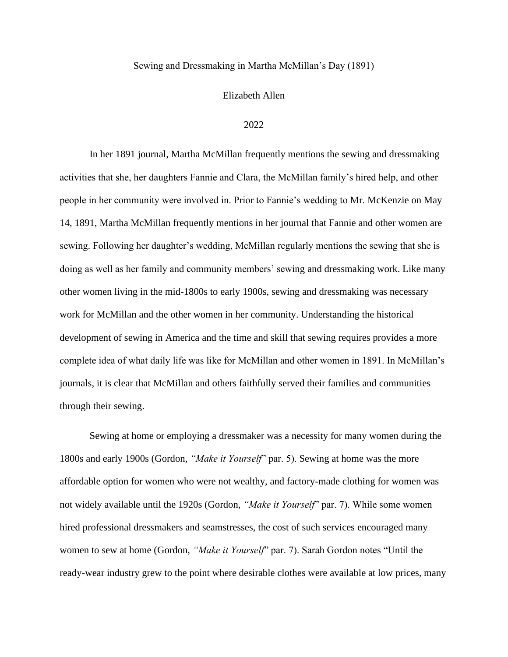### Elizabeth Allen

### 2022

In her 1891 journal, Martha McMillan frequently mentions the sewing and dressmaking activities that she, her daughters Fannie and Clara, the McMillan family's hired help, and other people in her community were involved in. Prior to Fannie's wedding to Mr. McKenzie on May 14, 1891, Martha McMillan frequently mentions in her journal that Fannie and other women are sewing. Following her daughter's wedding, McMillan regularly mentions the sewing that she is doing as well as her family and community members' sewing and dressmaking work. Like many other women living in the mid-1800s to early 1900s, sewing and dressmaking was necessary work for McMillan and the other women in her community. Understanding the historical development of sewing in America and the time and skill that sewing requires provides a more complete idea of what daily life was like for McMillan and other women in 1891. In McMillan's journals, it is clear that McMillan and others faithfully served their families and communities through their sewing.

Sewing at home or employing a dressmaker was a necessity for many women during the 1800s and early 1900s (Gordon, *"Make it Yourself*" par. 5). Sewing at home was the more affordable option for women who were not wealthy, and factory-made clothing for women was not widely available until the 1920s (Gordon, *"Make it Yourself*" par. 7). While some women hired professional dressmakers and seamstresses, the cost of such services encouraged many women to sew at home (Gordon, *"Make it Yourself*" par. 7). Sarah Gordon notes "Until the ready-wear industry grew to the point where desirable clothes were available at low prices, many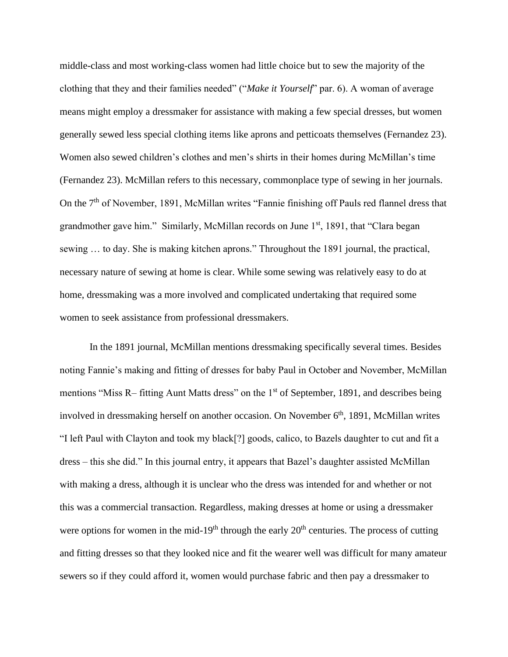middle-class and most working-class women had little choice but to sew the majority of the clothing that they and their families needed" ("*Make it Yourself*" par. 6). A woman of average means might employ a dressmaker for assistance with making a few special dresses, but women generally sewed less special clothing items like aprons and petticoats themselves (Fernandez 23). Women also sewed children's clothes and men's shirts in their homes during McMillan's time (Fernandez 23). McMillan refers to this necessary, commonplace type of sewing in her journals. On the 7<sup>th</sup> of November, 1891, McMillan writes "Fannie finishing off Pauls red flannel dress that grandmother gave him." Similarly, McMillan records on June 1<sup>st</sup>, 1891, that "Clara began sewing … to day. She is making kitchen aprons." Throughout the 1891 journal, the practical, necessary nature of sewing at home is clear. While some sewing was relatively easy to do at home, dressmaking was a more involved and complicated undertaking that required some women to seek assistance from professional dressmakers.

In the 1891 journal, McMillan mentions dressmaking specifically several times. Besides noting Fannie's making and fitting of dresses for baby Paul in October and November, McMillan mentions "Miss R– fitting Aunt Matts dress" on the 1<sup>st</sup> of September, 1891, and describes being involved in dressmaking herself on another occasion. On November  $6<sup>th</sup>$ , 1891, McMillan writes "I left Paul with Clayton and took my black[?] goods, calico, to Bazels daughter to cut and fit a dress – this she did." In this journal entry, it appears that Bazel's daughter assisted McMillan with making a dress, although it is unclear who the dress was intended for and whether or not this was a commercial transaction. Regardless, making dresses at home or using a dressmaker were options for women in the mid-19<sup>th</sup> through the early  $20<sup>th</sup>$  centuries. The process of cutting and fitting dresses so that they looked nice and fit the wearer well was difficult for many amateur sewers so if they could afford it, women would purchase fabric and then pay a dressmaker to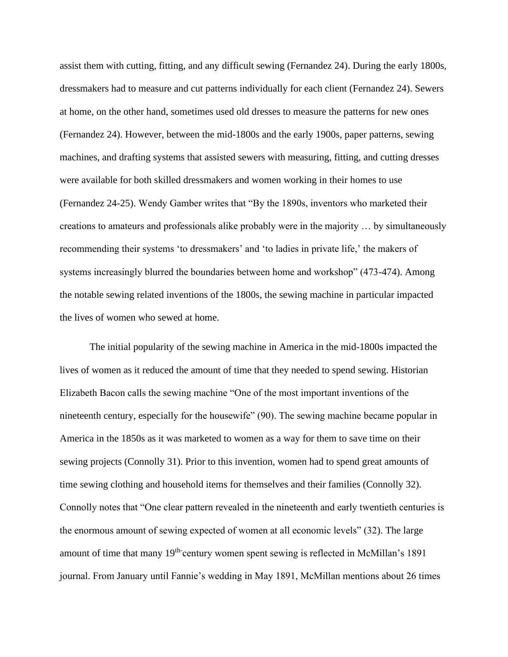assist them with cutting, fitting, and any difficult sewing (Fernandez 24). During the early 1800s, dressmakers had to measure and cut patterns individually for each client (Fernandez 24). Sewers at home, on the other hand, sometimes used old dresses to measure the patterns for new ones (Fernandez 24). However, between the mid-1800s and the early 1900s, paper patterns, sewing machines, and drafting systems that assisted sewers with measuring, fitting, and cutting dresses were available for both skilled dressmakers and women working in their homes to use (Fernandez 24-25). Wendy Gamber writes that "By the 1890s, inventors who marketed their creations to amateurs and professionals alike probably were in the majority … by simultaneously recommending their systems 'to dressmakers' and 'to ladies in private life,' the makers of systems increasingly blurred the boundaries between home and workshop" (473-474). Among the notable sewing related inventions of the 1800s, the sewing machine in particular impacted the lives of women who sewed at home.

The initial popularity of the sewing machine in America in the mid-1800s impacted the lives of women as it reduced the amount of time that they needed to spend sewing. Historian Elizabeth Bacon calls the sewing machine "One of the most important inventions of the nineteenth century, especially for the housewife" (90). The sewing machine became popular in America in the 1850s as it was marketed to women as a way for them to save time on their sewing projects (Connolly 31). Prior to this invention, women had to spend great amounts of time sewing clothing and household items for themselves and their families (Connolly 32). Connolly notes that "One clear pattern revealed in the nineteenth and early twentieth centuries is the enormous amount of sewing expected of women at all economic levels" (32). The large amount of time that many  $19<sup>th</sup>$  century women spent sewing is reflected in McMillan's 1891 journal. From January until Fannie's wedding in May 1891, McMillan mentions about 26 times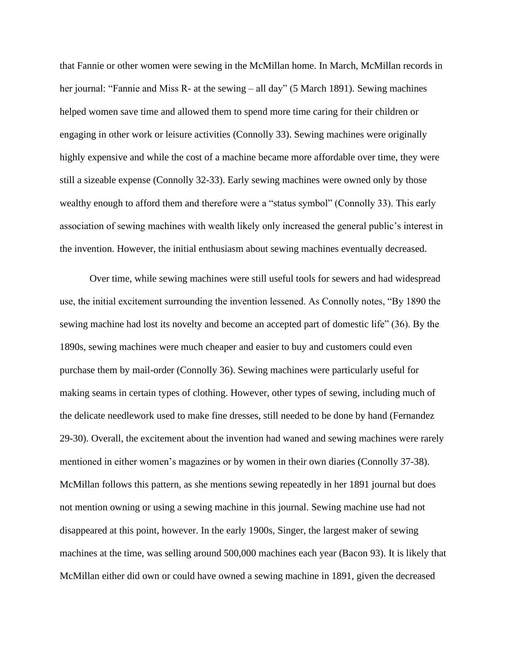that Fannie or other women were sewing in the McMillan home. In March, McMillan records in her journal: "Fannie and Miss R- at the sewing – all day" (5 March 1891). Sewing machines helped women save time and allowed them to spend more time caring for their children or engaging in other work or leisure activities (Connolly 33). Sewing machines were originally highly expensive and while the cost of a machine became more affordable over time, they were still a sizeable expense (Connolly 32-33). Early sewing machines were owned only by those wealthy enough to afford them and therefore were a "status symbol" (Connolly 33). This early association of sewing machines with wealth likely only increased the general public's interest in the invention. However, the initial enthusiasm about sewing machines eventually decreased.

Over time, while sewing machines were still useful tools for sewers and had widespread use, the initial excitement surrounding the invention lessened. As Connolly notes, "By 1890 the sewing machine had lost its novelty and become an accepted part of domestic life" (36). By the 1890s, sewing machines were much cheaper and easier to buy and customers could even purchase them by mail-order (Connolly 36). Sewing machines were particularly useful for making seams in certain types of clothing. However, other types of sewing, including much of the delicate needlework used to make fine dresses, still needed to be done by hand (Fernandez 29-30). Overall, the excitement about the invention had waned and sewing machines were rarely mentioned in either women's magazines or by women in their own diaries (Connolly 37-38). McMillan follows this pattern, as she mentions sewing repeatedly in her 1891 journal but does not mention owning or using a sewing machine in this journal. Sewing machine use had not disappeared at this point, however. In the early 1900s, Singer, the largest maker of sewing machines at the time, was selling around 500,000 machines each year (Bacon 93). It is likely that McMillan either did own or could have owned a sewing machine in 1891, given the decreased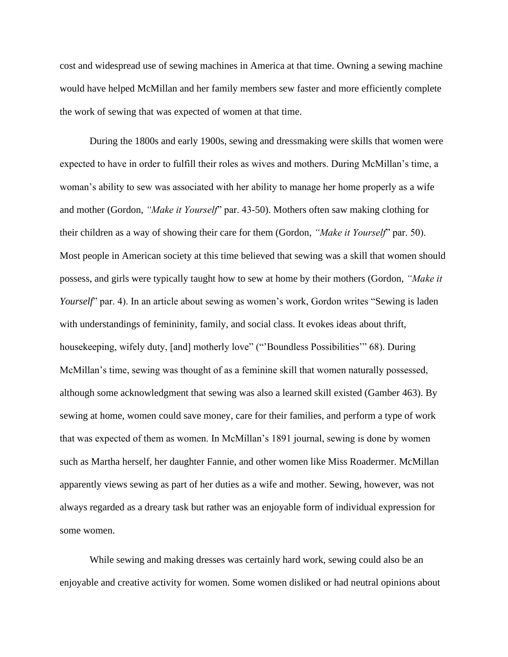cost and widespread use of sewing machines in America at that time. Owning a sewing machine would have helped McMillan and her family members sew faster and more efficiently complete the work of sewing that was expected of women at that time.

During the 1800s and early 1900s, sewing and dressmaking were skills that women were expected to have in order to fulfill their roles as wives and mothers. During McMillan's time, a woman's ability to sew was associated with her ability to manage her home properly as a wife and mother (Gordon, *"Make it Yourself*" par. 43-50). Mothers often saw making clothing for their children as a way of showing their care for them (Gordon, *"Make it Yourself*" par. 50). Most people in American society at this time believed that sewing was a skill that women should possess, and girls were typically taught how to sew at home by their mothers (Gordon, *"Make it Yourself*" par. 4). In an article about sewing as women's work, Gordon writes "Sewing is laden with understandings of femininity, family, and social class. It evokes ideas about thrift, housekeeping, wifely duty, [and] motherly love" ("'Boundless Possibilities'" 68). During McMillan's time, sewing was thought of as a feminine skill that women naturally possessed, although some acknowledgment that sewing was also a learned skill existed (Gamber 463). By sewing at home, women could save money, care for their families, and perform a type of work that was expected of them as women. In McMillan's 1891 journal, sewing is done by women such as Martha herself, her daughter Fannie, and other women like Miss Roadermer. McMillan apparently views sewing as part of her duties as a wife and mother. Sewing, however, was not always regarded as a dreary task but rather was an enjoyable form of individual expression for some women.

While sewing and making dresses was certainly hard work, sewing could also be an enjoyable and creative activity for women. Some women disliked or had neutral opinions about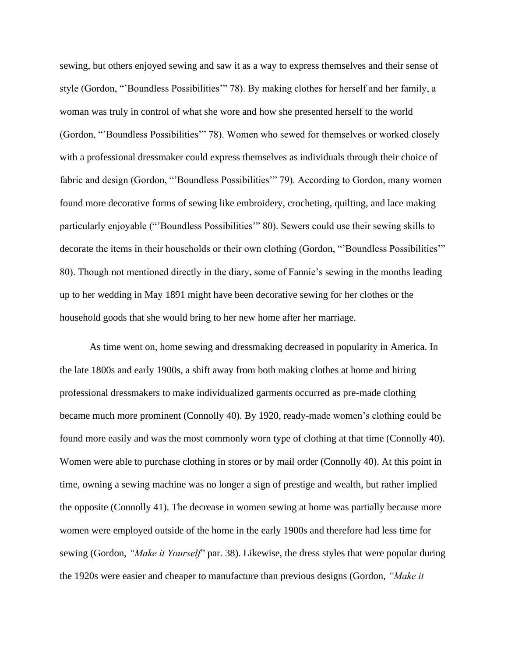sewing, but others enjoyed sewing and saw it as a way to express themselves and their sense of style (Gordon, "'Boundless Possibilities'" 78). By making clothes for herself and her family, a woman was truly in control of what she wore and how she presented herself to the world (Gordon, "'Boundless Possibilities'" 78). Women who sewed for themselves or worked closely with a professional dressmaker could express themselves as individuals through their choice of fabric and design (Gordon, "'Boundless Possibilities'" 79). According to Gordon, many women found more decorative forms of sewing like embroidery, crocheting, quilting, and lace making particularly enjoyable ("'Boundless Possibilities'" 80). Sewers could use their sewing skills to decorate the items in their households or their own clothing (Gordon, "Boundless Possibilities" 80). Though not mentioned directly in the diary, some of Fannie's sewing in the months leading up to her wedding in May 1891 might have been decorative sewing for her clothes or the household goods that she would bring to her new home after her marriage.

As time went on, home sewing and dressmaking decreased in popularity in America. In the late 1800s and early 1900s, a shift away from both making clothes at home and hiring professional dressmakers to make individualized garments occurred as pre-made clothing became much more prominent (Connolly 40). By 1920, ready-made women's clothing could be found more easily and was the most commonly worn type of clothing at that time (Connolly 40). Women were able to purchase clothing in stores or by mail order (Connolly 40). At this point in time, owning a sewing machine was no longer a sign of prestige and wealth, but rather implied the opposite (Connolly 41). The decrease in women sewing at home was partially because more women were employed outside of the home in the early 1900s and therefore had less time for sewing (Gordon, *"Make it Yourself*" par. 38). Likewise, the dress styles that were popular during the 1920s were easier and cheaper to manufacture than previous designs (Gordon, *"Make it*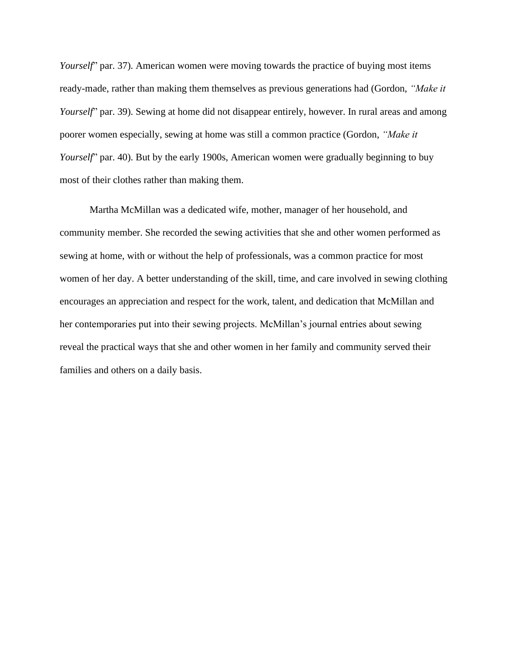*Yourself*" par. 37). American women were moving towards the practice of buying most items ready-made, rather than making them themselves as previous generations had (Gordon, *"Make it Yourself*" par. 39). Sewing at home did not disappear entirely, however. In rural areas and among poorer women especially, sewing at home was still a common practice (Gordon, *"Make it Yourself*" par. 40). But by the early 1900s, American women were gradually beginning to buy most of their clothes rather than making them.

Martha McMillan was a dedicated wife, mother, manager of her household, and community member. She recorded the sewing activities that she and other women performed as sewing at home, with or without the help of professionals, was a common practice for most women of her day. A better understanding of the skill, time, and care involved in sewing clothing encourages an appreciation and respect for the work, talent, and dedication that McMillan and her contemporaries put into their sewing projects. McMillan's journal entries about sewing reveal the practical ways that she and other women in her family and community served their families and others on a daily basis.